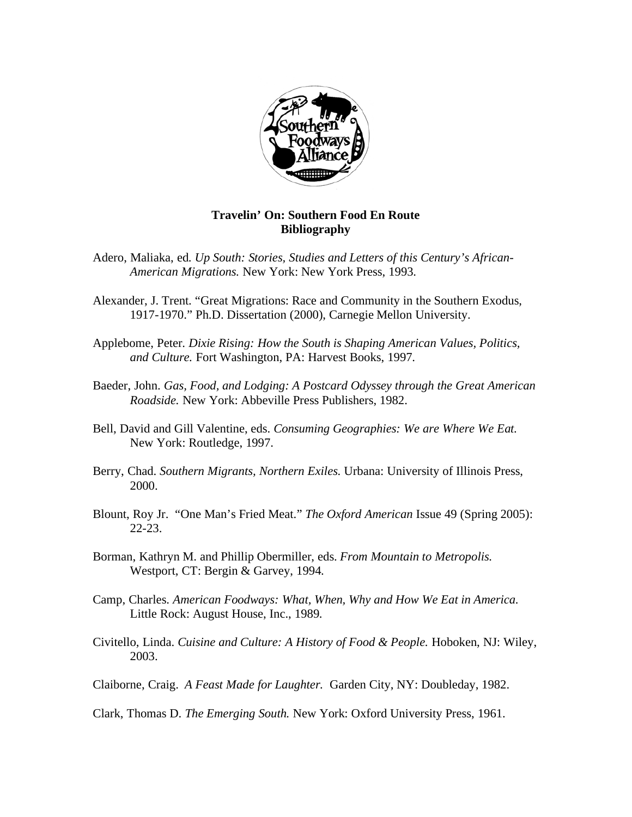

## **Travelin' On: Southern Food En Route Bibliography**

- Adero, Maliaka, ed. *Up South: Stories, Studies and Letters of this Century's African-American Migrations.* New York: New York Press, 1993.
- Alexander, J. Trent. "Great Migrations: Race and Community in the Southern Exodus, 1917-1970." Ph.D. Dissertation (2000), Carnegie Mellon University.
- Applebome, Peter. *Dixie Rising: How the South is Shaping American Values, Politics, and Culture.* Fort Washington, PA: Harvest Books, 1997.
- Baeder, John. *Gas, Food, and Lodging: A Postcard Odyssey through the Great American Roadside.* New York: Abbeville Press Publishers, 1982.
- Bell, David and Gill Valentine, eds. *Consuming Geographies: We are Where We Eat.*  New York: Routledge, 1997.
- Berry, Chad. *Southern Migrants, Northern Exiles.* Urbana: University of Illinois Press, 2000.
- Blount, Roy Jr. "One Man's Fried Meat." *The Oxford American* Issue 49 (Spring 2005): 22-23.
- Borman, Kathryn M. and Phillip Obermiller, eds. *From Mountain to Metropolis.*  Westport, CT: Bergin & Garvey, 1994.
- Camp, Charles. *American Foodways: What, When, Why and How We Eat in America.*  Little Rock: August House, Inc., 1989.
- Civitello, Linda. *Cuisine and Culture: A History of Food & People.* Hoboken, NJ: Wiley, 2003.
- Claiborne, Craig. *A Feast Made for Laughter.* Garden City, NY: Doubleday, 1982.

Clark, Thomas D. *The Emerging South.* New York: Oxford University Press, 1961.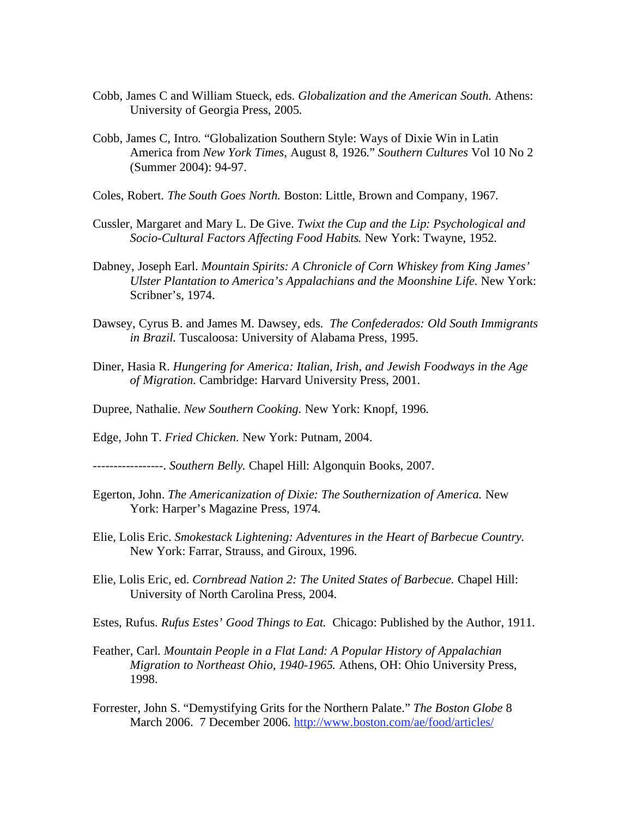- Cobb, James C and William Stueck, eds. *Globalization and the American South.* Athens: University of Georgia Press, 2005.
- Cobb, James C, Intro. "Globalization Southern Style: Ways of Dixie Win in Latin America from *New York Times*, August 8, 1926." *Southern Cultures* Vol 10 No 2 (Summer 2004): 94-97.
- Coles, Robert. *The South Goes North.* Boston: Little, Brown and Company, 1967.
- Cussler, Margaret and Mary L. De Give. *Twixt the Cup and the Lip: Psychological and Socio-Cultural Factors Affecting Food Habits.* New York: Twayne, 1952.
- Dabney, Joseph Earl. *Mountain Spirits: A Chronicle of Corn Whiskey from King James' Ulster Plantation to America's Appalachians and the Moonshine Life.* New York: Scribner's, 1974.
- Dawsey, Cyrus B. and James M. Dawsey, eds. *The Confederados: Old South Immigrants in Brazil.* Tuscaloosa: University of Alabama Press, 1995.
- Diner, Hasia R. *Hungering for America: Italian, Irish, and Jewish Foodways in the Age of Migration.* Cambridge: Harvard University Press, 2001.
- Dupree, Nathalie. *New Southern Cooking.* New York: Knopf, 1996.
- Edge, John T. *Fried Chicken.* New York: Putnam, 2004.
- -----------------. *Southern Belly.* Chapel Hill: Algonquin Books, 2007.
- Egerton, John. *The Americanization of Dixie: The Southernization of America.* New York: Harper's Magazine Press, 1974.
- Elie, Lolis Eric. *Smokestack Lightening: Adventures in the Heart of Barbecue Country.*  New York: Farrar, Strauss, and Giroux, 1996.
- Elie, Lolis Eric, ed. *Cornbread Nation 2: The United States of Barbecue.* Chapel Hill: University of North Carolina Press, 2004.
- Estes, Rufus. *Rufus Estes' Good Things to Eat.* Chicago: Published by the Author, 1911.
- Feather, Carl. *Mountain People in a Flat Land: A Popular History of Appalachian Migration to Northeast Ohio, 1940-1965.* Athens, OH: Ohio University Press, 1998.
- Forrester, John S. "Demystifying Grits for the Northern Palate." *The Boston Globe* 8 March 2006. 7 December 2006. http://www.boston.com/ae/food/articles/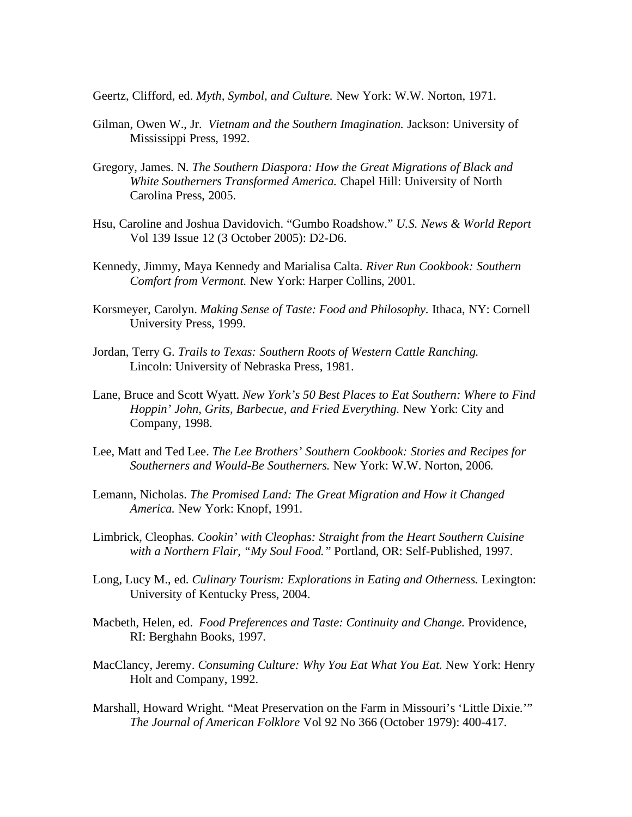Geertz, Clifford, ed. *Myth, Symbol, and Culture.* New York: W.W. Norton, 1971.

- Gilman, Owen W., Jr. *Vietnam and the Southern Imagination.* Jackson: University of Mississippi Press, 1992.
- Gregory, James. N. *The Southern Diaspora: How the Great Migrations of Black and White Southerners Transformed America.* Chapel Hill: University of North Carolina Press, 2005.
- Hsu, Caroline and Joshua Davidovich. "Gumbo Roadshow." *U.S. News & World Report*  Vol 139 Issue 12 (3 October 2005): D2-D6.
- Kennedy, Jimmy, Maya Kennedy and Marialisa Calta. *River Run Cookbook: Southern Comfort from Vermont.* New York: Harper Collins, 2001.
- Korsmeyer, Carolyn. *Making Sense of Taste: Food and Philosophy.* Ithaca, NY: Cornell University Press, 1999.
- Jordan, Terry G. *Trails to Texas: Southern Roots of Western Cattle Ranching.*  Lincoln: University of Nebraska Press, 1981.
- Lane, Bruce and Scott Wyatt. *New York's 50 Best Places to Eat Southern: Where to Find Hoppin' John, Grits, Barbecue, and Fried Everything.* New York: City and Company, 1998.
- Lee, Matt and Ted Lee. *The Lee Brothers' Southern Cookbook: Stories and Recipes for Southerners and Would-Be Southerners.* New York: W.W. Norton, 2006.
- Lemann, Nicholas. *The Promised Land: The Great Migration and How it Changed America.* New York: Knopf, 1991.
- Limbrick, Cleophas. *Cookin' with Cleophas: Straight from the Heart Southern Cuisine with a Northern Flair, "My Soul Food."* Portland, OR: Self-Published, 1997.
- Long, Lucy M., ed. *Culinary Tourism: Explorations in Eating and Otherness*. Lexington: University of Kentucky Press, 2004.
- Macbeth, Helen, ed. *Food Preferences and Taste: Continuity and Change.* Providence, RI: Berghahn Books, 1997.
- MacClancy, Jeremy. *Consuming Culture: Why You Eat What You Eat.* New York: Henry Holt and Company, 1992.
- Marshall, Howard Wright. "Meat Preservation on the Farm in Missouri's 'Little Dixie.'" *The Journal of American Folklore* Vol 92 No 366 (October 1979): 400-417.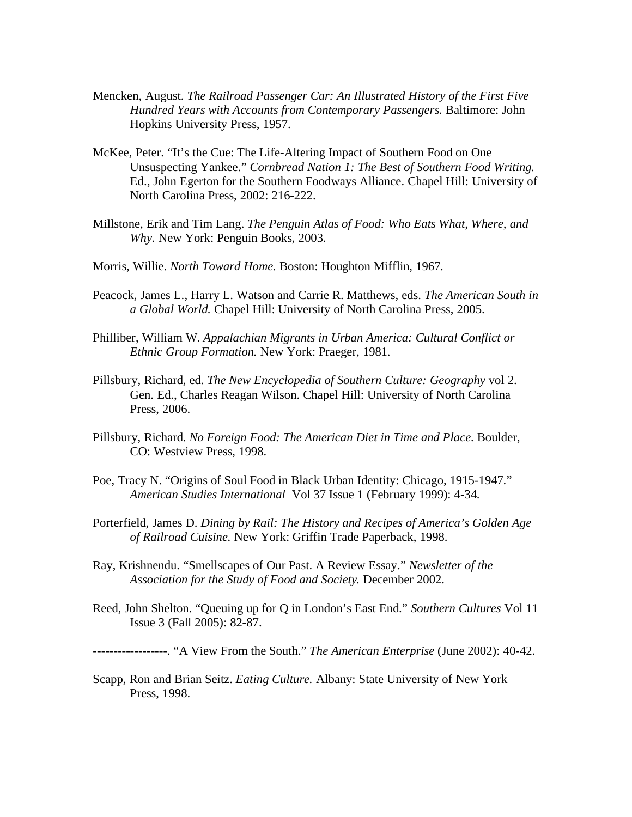- Mencken, August. *The Railroad Passenger Car: An Illustrated History of the First Five Hundred Years with Accounts from Contemporary Passengers.* Baltimore: John Hopkins University Press, 1957.
- McKee, Peter. "It's the Cue: The Life-Altering Impact of Southern Food on One Unsuspecting Yankee." *Cornbread Nation 1: The Best of Southern Food Writing.*  Ed., John Egerton for the Southern Foodways Alliance. Chapel Hill: University of North Carolina Press, 2002: 216-222.
- Millstone, Erik and Tim Lang. *The Penguin Atlas of Food: Who Eats What, Where, and Why.* New York: Penguin Books, 2003.
- Morris, Willie. *North Toward Home.* Boston: Houghton Mifflin, 1967.
- Peacock, James L., Harry L. Watson and Carrie R. Matthews, eds. *The American South in a Global World.* Chapel Hill: University of North Carolina Press, 2005.
- Philliber, William W. *Appalachian Migrants in Urban America: Cultural Conflict or Ethnic Group Formation.* New York: Praeger, 1981.
- Pillsbury, Richard, ed. *The New Encyclopedia of Southern Culture: Geography* vol 2. Gen. Ed., Charles Reagan Wilson. Chapel Hill: University of North Carolina Press, 2006.
- Pillsbury, Richard. *No Foreign Food: The American Diet in Time and Place.* Boulder, CO: Westview Press, 1998.
- Poe, Tracy N. "Origins of Soul Food in Black Urban Identity: Chicago, 1915-1947." *American Studies International* Vol 37 Issue 1 (February 1999): 4-34.
- Porterfield, James D. *Dining by Rail: The History and Recipes of America's Golden Age of Railroad Cuisine.* New York: Griffin Trade Paperback, 1998.
- Ray, Krishnendu. "Smellscapes of Our Past. A Review Essay." *Newsletter of the Association for the Study of Food and Society.* December 2002.
- Reed, John Shelton. "Queuing up for Q in London's East End." *Southern Cultures* Vol 11 Issue 3 (Fall 2005): 82-87.

------------------. "A View From the South." *The American Enterprise* (June 2002): 40-42.

Scapp, Ron and Brian Seitz. *Eating Culture.* Albany: State University of New York Press, 1998.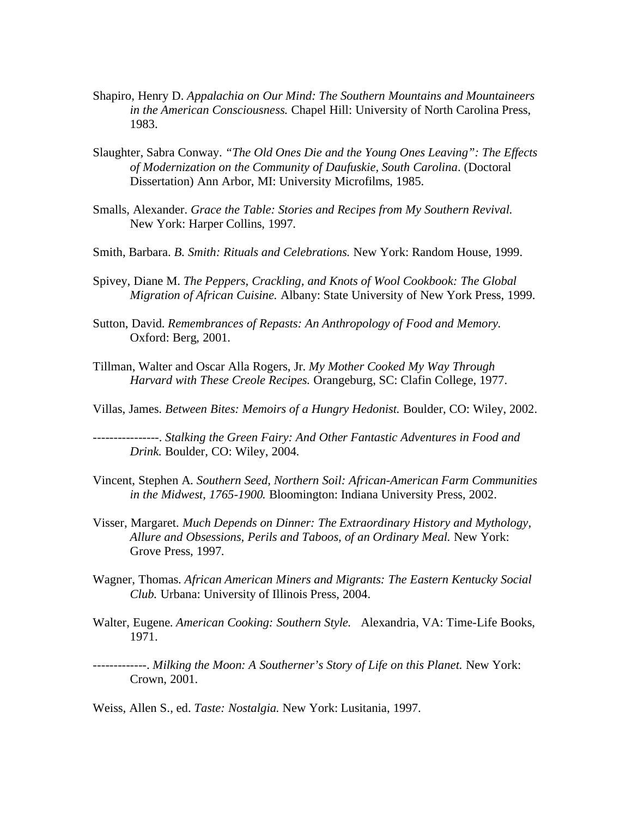- Shapiro, Henry D. *Appalachia on Our Mind: The Southern Mountains and Mountaineers in the American Consciousness.* Chapel Hill: University of North Carolina Press, 1983.
- Slaughter, Sabra Conway. *"The Old Ones Die and the Young Ones Leaving": The Effects of Modernization on the Community of Daufuskie, South Carolina*. (Doctoral Dissertation) Ann Arbor, MI: University Microfilms, 1985.
- Smalls, Alexander. *Grace the Table: Stories and Recipes from My Southern Revival.*  New York: Harper Collins, 1997.
- Smith, Barbara. *B. Smith: Rituals and Celebrations.* New York: Random House, 1999.
- Spivey, Diane M. *The Peppers, Crackling, and Knots of Wool Cookbook: The Global Migration of African Cuisine.* Albany: State University of New York Press, 1999.
- Sutton, David. *Remembrances of Repasts: An Anthropology of Food and Memory.*  Oxford: Berg, 2001.
- Tillman, Walter and Oscar Alla Rogers, Jr. *My Mother Cooked My Way Through Harvard with These Creole Recipes.* Orangeburg, SC: Clafin College, 1977.
- Villas, James. *Between Bites: Memoirs of a Hungry Hedonist.* Boulder, CO: Wiley, 2002.

----------------. *Stalking the Green Fairy: And Other Fantastic Adventures in Food and Drink.* Boulder, CO: Wiley, 2004.

- Vincent, Stephen A. *Southern Seed, Northern Soil: African-American Farm Communities in the Midwest, 1765-1900.* Bloomington: Indiana University Press, 2002.
- Visser, Margaret. *Much Depends on Dinner: The Extraordinary History and Mythology, Allure and Obsessions, Perils and Taboos, of an Ordinary Meal.* New York: Grove Press, 1997.
- Wagner, Thomas. *African American Miners and Migrants: The Eastern Kentucky Social Club.* Urbana: University of Illinois Press, 2004.
- Walter, Eugene. *American Cooking: Southern Style.* Alexandria, VA: Time-Life Books, 1971.
- -------------. *Milking the Moon: A Southerner's Story of Life on this Planet.* New York: Crown, 2001.

Weiss, Allen S., ed. *Taste: Nostalgia.* New York: Lusitania, 1997.